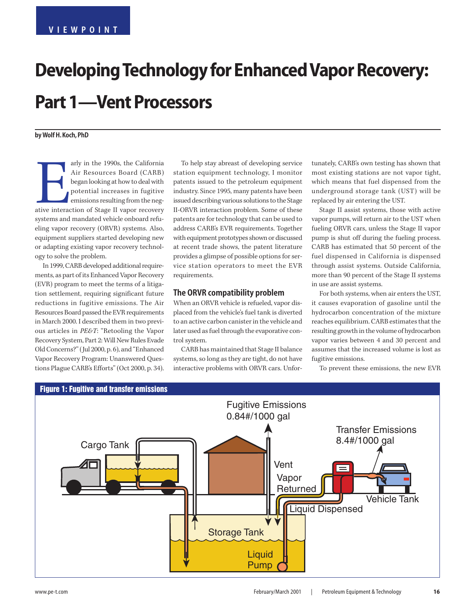# **Developing Technology for Enhanced Vapor Recovery: Part 1—Vent Processors**

**by Wolf H. Koch, PhD**

arly in the 1990s, the California<br>Air Resources Board (CARB)<br>began looking at how to deal with<br>potential increases in fugitive<br>emissions resulting from the neg-<br>ative interaction of Stage II vapor recovery arly in the 1990s, the California Air Resources Board (CARB) began looking at how to deal with potential increases in fugitive emissions resulting from the negsystems and mandated vehicle onboard refueling vapor recovery (ORVR) systems. Also, equipment suppliers started developing new or adapting existing vapor recovery technology to solve the problem.

In 1999, CARB developed additional requirements, as part of its Enhanced Vapor Recovery (EVR) program to meet the terms of a litigation settlement, requiring significant future reductions in fugitive emissions. The Air Resources Board passed the EVR requirements in March 2000. I described them in two previous articles in *PE&T*: "Retooling the Vapor Recovery System, Part 2: Will New Rules Evade Old Concerns?" (Jul 2000, p. 6), and "Enhanced Vapor Recovery Program: Unanswered Questions Plague CARB's Efforts" (Oct 2000, p. 34).

To help stay abreast of developing service station equipment technology, I monitor patents issued to the petroleum equipment industry. Since 1995, many patents have been issued describing various solutions to the Stage II-ORVR interaction problem. Some of these patents are for technology that can be used to address CARB's EVR requirements. Together with equipment prototypes shown or discussed at recent trade shows, the patent literature provides a glimpse of possible options for service station operators to meet the EVR requirements.

#### **The ORVR compatibility problem**

When an ORVR vehicle is refueled, vapor displaced from the vehicle's fuel tank is diverted to an active carbon canister in the vehicle and later used as fuel through the evaporative control system.

CARB has maintained that Stage II balance systems, so long as they are tight, do not have interactive problems with ORVR cars. Unfortunately, CARB's own testing has shown that most existing stations are not vapor tight, which means that fuel dispensed from the underground storage tank (UST) will be replaced by air entering the UST.

Stage II assist systems, those with active vapor pumps, will return air to the UST when fueling ORVR cars, unless the Stage II vapor pump is shut off during the fueling process. CARB has estimated that 50 percent of the fuel dispensed in California is dispensed through assist systems. Outside California, more than 90 percent of the Stage II systems in use are assist systems.

For both systems, when air enters the UST, it causes evaporation of gasoline until the hydrocarbon concentration of the mixture reaches equilibrium. CARB estimates that the resulting growth in the volume of hydrocarbon vapor varies between 4 and 30 percent and assumes that the increased volume is lost as fugitive emissions.

To prevent these emissions, the new EVR

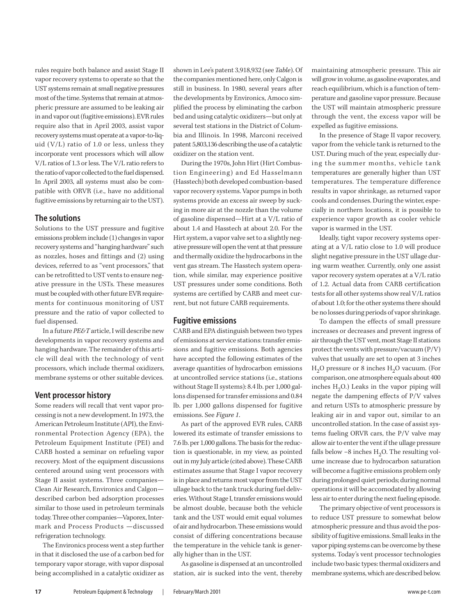rules require both balance and assist Stage II vapor recovery systems to operate so that the UST systems remain at small negative pressures most of the time. Systems that remain at atmospheric pressure are assumed to be leaking air in and vapor out (fugitive emissions). EVR rules require also that in April 2003, assist vapor recovery systems must operate at a vapor-to-liquid (V/L) ratio of 1.0 or less, unless they incorporate vent processors which will allow V/L ratios of 1.3 or less. The V/L ratio refers to the ratio of vapor collected to the fuel dispensed. In April 2003, all systems must also be compatible with ORVR (i.e., have no additional fugitive emissions by returning air to the UST).

#### **The solutions**

Solutions to the UST pressure and fugitive emissions problem include (1) changes in vapor recovery systems and "hanging hardware" such as nozzles, hoses and fittings and (2) using devices, referred to as "vent processors," that can be retrofitted to UST vents to ensure negative pressure in the USTs. These measures must be coupled with other future EVR requirements for continuous monitoring of UST pressure and the ratio of vapor collected to fuel dispensed.

In a future *PE&T* article, I will describe new developments in vapor recovery systems and hanging hardware. The remainder of this article will deal with the technology of vent processors, which include thermal oxidizers, membrane systems or other suitable devices.

#### **Vent processor history**

Some readers will recall that vent vapor processing is not a new development. In 1973, the American Petroleum Institute (API), the Environmental Protection Agency (EPA), the Petroleum Equipment Institute (PEI) and CARB hosted a seminar on refueling vapor recovery. Most of the equipment discussions centered around using vent processors with Stage II assist systems. Three companies— Clean Air Research, Environics and Calgon described carbon bed adsorption processes similar to those used in petroleum terminals today. Three other companies—Vaporex, Intermark and Process Products —discussed refrigeration technology.

The Environics process went a step further in that it disclosed the use of a carbon bed for temporary vapor storage, with vapor disposal being accomplished in a catalytic oxidizer as shown in Lee's patent 3,918,932 (see *Table*). Of the companies mentioned here, only Calgon is still in business. In 1980, several years after the developments by Environics, Amoco simplified the process by eliminating the carbon bed and using catalytic oxidizers—but only at several test stations in the District of Columbia and Illinois. In 1998, Marconi received patent 5,803,136 describing the use of a catalytic oxidizer on the station vent.

During the 1970s, John Hirt (Hirt Combustion Engineering) and Ed Hasselmann (Hasstech) both developed combustion-based vapor recovery systems. Vapor pumps in both systems provide an excess air sweep by sucking in more air at the nozzle than the volume of gasoline dispensed—Hirt at a V/L ratio of about 1.4 and Hasstech at about 2.0. For the Hirt system, a vapor valve set to a slightly negative pressure will open the vent at that pressure and thermally oxidize the hydrocarbons in the vent gas stream. The Hasstech system operation, while similar, may experience positive UST pressures under some conditions. Both systems are certified by CARB and meet current, but not future CARB requirements.

#### **Fugitive emissions**

CARB and EPA distinguish between two types of emissions at service stations: transfer emissions and fugitive emissions. Both agencies have accepted the following estimates of the average quantities of hydrocarbon emissions at uncontrolled service stations (i.e., stations without Stage II systems): 8.4 lb. per 1,000 gallons dispensed for transfer emissions and 0.84 lb. per 1,000 gallons dispensed for fugitive emissions. See *Figure 1*.

As part of the approved EVR rules, CARB lowered its estimate of transfer emissions to 7.6 lb. per 1,000 gallons. The basis for the reduction is questionable, in my view, as pointed out in my July article (cited above). These CARB estimates assume that Stage I vapor recovery is in place and returns most vapor from the UST ullage back to the tank truck during fuel deliveries. Without Stage I, transfer emissions would be almost double, because both the vehicle tank and the UST would emit equal volumes of air and hydrocarbon. These emissions would consist of differing concentrations because the temperature in the vehicle tank is generally higher than in the UST.

As gasoline is dispensed at an uncontrolled station, air is sucked into the vent, thereby

maintaining atmospheric pressure. This air will grow in volume, as gasoline evaporates, and reach equilibrium, which is a function of temperature and gasoline vapor pressure. Because the UST will maintain atmospheric pressure through the vent, the excess vapor will be expelled as fugitive emissions.

In the presence of Stage II vapor recovery, vapor from the vehicle tank is returned to the UST. During much of the year, especially during the summer months, vehicle tank temperatures are generally higher than UST temperatures. The temperature difference results in vapor shrinkage, as returned vapor cools and condenses. During the winter, especially in northern locations, it is possible to experience vapor growth as cooler vehicle vapor is warmed in the UST.

Ideally, tight vapor recovery systems operating at a V/L ratio close to 1.0 will produce slight negative pressure in the UST ullage during warm weather. Currently, only one assist vapor recovery system operates at a V/L ratio of 1.2. Actual data from CARB certification tests for all other systems show real V/L ratios of about 1.0; for the other systems there should be no losses during periods of vapor shrinkage.

To dampen the effects of small pressure increases or decreases and prevent ingress of air through the UST vent, most Stage II stations protect the vents with pressure/vacuum (P/V) valves that usually are set to open at 3 inches  $H<sub>2</sub>O$  pressure or 8 inches  $H<sub>2</sub>O$  vacuum. (For comparison, one atmosphere equals about 400 inches  $H_2O$ .) Leaks in the vapor piping will negate the dampening effects of P/V valves and return USTs to atmospheric pressure by leaking air in and vapor out, similar to an uncontrolled station. In the case of assist systems fueling ORVR cars, the P/V valve may allow air to enter the vent if the ullage pressure falls below  $-8$  inches H<sub>2</sub>O. The resulting volume increase due to hydrocarbon saturation will become a fugitive emissions problem only during prolonged quiet periods; during normal operations it will be accomodated by allowing less air to enter during the next fueling episode.

The primary objective of vent processors is to reduce UST pressure to somewhat below atmospheric pressure and thus avoid the possibility of fugitive emissions. Small leaks in the vapor piping systems can be overcome by these systems. Today's vent processor technologies include two basic types: thermal oxidizers and membrane systems, which are described below.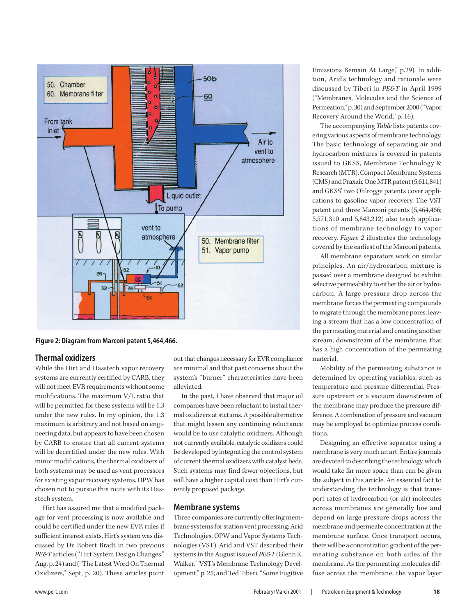

**Figure 2: Diagram from Marconi patent 5,464,466.**

#### **Thermal oxidizers**

While the Hirt and Hasstech vapor recovery systems are currently certified by CARB, they will not meet EVR requirements without some modifications. The maximum V/L ratio that will be permitted for these systems will be 1.3 under the new rules. In my opinion, the 1.3 maximum is arbitrary and not based on engineering data, but appears to have been chosen by CARB to ensure that all current systems will be decertified under the new rules. With minor modifications, the thermal oxidizers of both systems may be used as vent processors for existing vapor recovery systems. OPW has chosen not to pursue this route with its Hasstech system.

Hirt has assured me that a modified package for vent processing is now available and could be certified under the new EVR rules if sufficient interest exists. Hirt's system was discussed by Dr. Robert Bradt in two previous *PE&T* articles ("Hirt System Design Changes," Aug, p. 24) and ("The Latest Word On Thermal Oxidizers," Sept, p. 20). These articles point out that changes necessary for EVR compliance are minimal and that past concerns about the system's "burner" characteristics have been alleviated.

In the past, I have observed that major oil companies have been reluctant to install thermal oxidizers at stations. A possible alternative that might lessen any continuing reluctance would be to use catalytic oxidizers. Although not currently available, catalytic oxidizers could be developed by integrating the control system of current thermal oxidizers with catalyst beds. Such systems may find fewer objections, but will have a higher capital cost than Hirt's currently proposed package.

#### **Membrane systems**

Three companies are currently offering membrane systems for station vent processing: Arid Technologies, OPW and Vapor Systems Technologies (VST). Arid and VST described their systems in the August issue of *PE&T* (Glenn K. Walker, "VST's Membrane Technology Development," p. 25; and Ted Tiberi, "Some Fugitive

Emissions Remain At Large," p.29). In addition, Arid's technology and rationale were discussed by Tiberi in *PE&T* in April 1999 ("Membranes, Molecules and the Science of Permeation," p. 30) and September 2000 ("Vapor Recovery Around the World," p. 16).

The accompanying *Table* lists patents covering various aspects of membrane technology. The basic technology of separating air and hydrocarbon mixtures is covered in patents issued to GKSS, Membrane Technology & Research (MTR), Compact Membrane Systems (CMS) and Praxair. One MTR patent (5,611,841) and GKSS' two Ohlrogge patents cover applications to gasoline vapor recovery. The VST patent and three Marconi patents (5,464,466; 5,571,310 and 5,843,212) also teach applications of membrane technology to vapor recovery. *Figure 2* illustrates the technology covered by the earliest of the Marconi patents.

All membrane separators work on similar principles. An air/hydrocarbon mixture is passed over a membrane designed to exhibit selective permeability to either the air or hydrocarbon. A large pressure drop across the membrane forces the permeating compounds to migrate through the membrane pores, leaving a stream that has a low concentration of the permeating material and creating another stream, downstream of the membrane, that has a high concentration of the permeating material.

Mobility of the permeating substance is determined by operating variables, such as temperature and pressure differential. Pressure upstream or a vacuum downstream of the membrane may produce the pressure difference. A combination of pressure and vacuum may be employed to optimize process conditions.

Designing an effective separator using a membrane is very much an art. Entire journals are devoted to describing the technology, which would take far more space than can be given the subject in this article. An essential fact to understanding the technology is that transport rates of hydrocarbon (or air) molecules across membranes are generally low and depend on large pressure drops across the membrane and permeate concentration at the membrane surface. Once transport occurs, there will be a concentration gradient of the permeating substance on both sides of the membrane. As the permeating molecules diffuse across the membrane, the vapor layer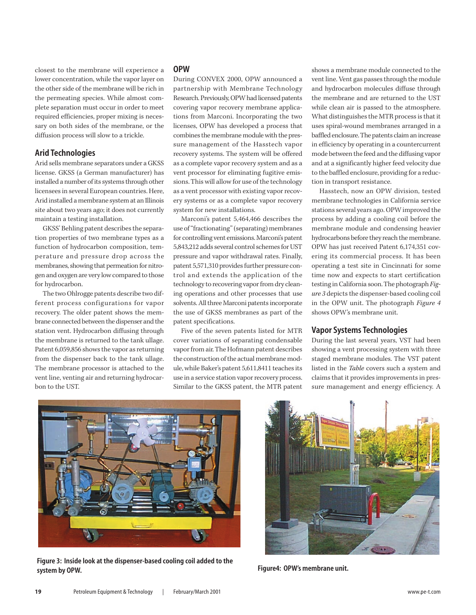closest to the membrane will experience a lower concentration, while the vapor layer on the other side of the membrane will be rich in the permeating species. While almost complete separation must occur in order to meet required efficiencies, proper mixing is necessary on both sides of the membrane, or the diffusion process will slow to a trickle.

#### **Arid Technologies**

Arid sells membrane separators under a GKSS license. GKSS (a German manufacturer) has installed a number of its systems through other licensees in several European countries. Here, Arid installed a membrane system at an Illinois site about two years ago; it does not currently maintain a testing installation.

GKSS' Behling patent describes the separation properties of two membrane types as a function of hydrocarbon composition, temperature and pressure drop across the membranes, showing that permeation for nitrogen and oxygen are very low compared to those for hydrocarbon.

The two Ohlrogge patents describe two different process configurations for vapor recovery. The older patent shows the membrane connected between the dispenser and the station vent. Hydrocarbon diffusing through the membrane is returned to the tank ullage. Patent 6,059,856 shows the vapor as returning from the dispenser back to the tank ullage. The membrane processor is attached to the vent line, venting air and returning hydrocarbon to the UST.

#### **OPW**

During CONVEX 2000, OPW announced a partnership with Membrane Technology Research. Previously, OPW had licensed patents covering vapor recovery membrane applications from Marconi. Incorporating the two licenses, OPW has developed a process that combines the membrane module with the pressure management of the Hasstech vapor recovery systems. The system will be offered as a complete vapor recovery system and as a vent processor for eliminating fugitive emissions. This will allow for use of the technology as a vent processor with existing vapor recovery systems or as a complete vapor recovery system for new installations.

Marconi's patent 5,464,466 describes the use of "fractionating" (separating) membranes for controlling vent emissions. Marconi's patent 5,843,212 adds several control schemes for UST pressure and vapor withdrawal rates. Finally, patent 5,571,310 provides further pressure control and extends the application of the technology to recovering vapor from dry cleaning operations and other processes that use solvents. All three Marconi patents incorporate the use of GKSS membranes as part of the patent specifications.

Five of the seven patents listed for MTR cover variations of separating condensable vapor from air. The Hofmann patent describes the construction of the actual membrane module, while Baker's patent 5,611,8411 teaches its use in a service station vapor recovery process. Similar to the GKSS patent, the MTR patent shows a membrane module connected to the vent line. Vent gas passes through the module and hydrocarbon molecules diffuse through the membrane and are returned to the UST while clean air is passed to the atmosphere. What distinguishes the MTR process is that it uses spiral-wound membranes arranged in a baffled enclosure. The patents claim an increase in efficiency by operating in a countercurrent mode between the feed and the diffusing vapor and at a significantly higher feed velocity due to the baffled enclosure, providing for a reduction in transport resistance.

Hasstech, now an OPW division, tested membrane technologies in California service stations several years ago. OPW improved the process by adding a cooling coil before the membrane module and condensing heavier hydrocarbons before they reach the membrane. OPW has just received Patent 6,174,351 covering its commercial process. It has been operating a test site in Cincinnati for some time now and expects to start certification testing in California soon. The photograph *Figure 3* depicts the dispenser-based cooling coil in the OPW unit. The photograph *Figure 4* shows OPW's membrane unit.

#### **Vapor Systems Technologies**

During the last several years, VST had been showing a vent processing system with three staged membrane modules. The VST patent listed in the *Table* covers such a system and claims that it provides improvements in pressure management and energy efficiency. A



**Figure 3: Inside look at the dispenser-based cooling coil added to the system by OPW.**



**Figure4: OPW's membrane unit.**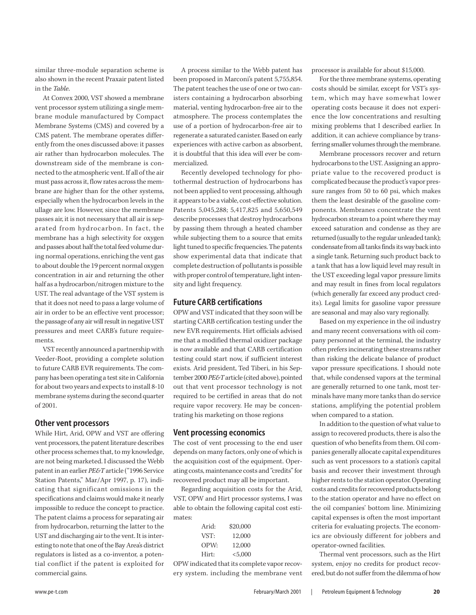similar three-module separation scheme is also shown in the recent Praxair patent listed in the *Table*.

At Convex 2000, VST showed a membrane vent processor system utilizing a single membrane module manufactured by Compact Membrane Systems (CMS) and covered by a CMS patent. The membrane operates differently from the ones discussed above: it passes air rather than hydrocarbon molecules. The downstream side of the membrane is connected to the atmospheric vent. If all of the air must pass across it, flow rates across the membrane are higher than for the other systems, especially when the hydrocarbon levels in the ullage are low. However, since the membrane passes air, it is not necessary that all air is separated from hydrocarbon. In fact, the membrane has a high selectivity for oxygen and passes about half the total feed volume during normal operations, enriching the vent gas to about double the 19 percent normal oxygen concentration in air and returning the other half as a hydrocarbon/nitrogen mixture to the UST. The real advantage of the VST system is that it does not need to pass a large volume of air in order to be an effective vent processor; the passage of any air will result in negative UST pressures and meet CARB's future requirements.

VST recently announced a partnership with Veeder-Root, providing a complete solution to future CARB EVR requirements. The company has been operating a test site in California for about two years and expects to install 8-10 membrane systems during the second quarter of 2001.

#### **Other vent processors**

While Hirt, Arid, OPW and VST are offering vent processors, the patent literature describes other process schemes that, to my knowledge, are not being marketed. I discussed the Webb patent in an earlier *PE&T* article ("1996 Service Station Patents," Mar/Apr 1997, p. 17), indicating that significant omissions in the specifications and claims would make it nearly impossible to reduce the concept to practice. The patent claims a process for separating air from hydrocarbon, returning the latter to the UST and discharging air to the vent. It is interesting to note that one of the Bay Area's district regulators is listed as a co-inventor, a potential conflict if the patent is exploited for commercial gains.

A process similar to the Webb patent has been proposed in Marconi's patent 5,755,854. The patent teaches the use of one or two canisters containing a hydrocarbon absorbing material, venting hydrocarbon-free air to the atmosphere. The process contemplates the use of a portion of hydrocarbon-free air to regenerate a saturated canister. Based on early experiences with active carbon as absorbent, it is doubtful that this idea will ever be commercialized.

Recently developed technology for photothermal destruction of hydrocarbons has not been applied to vent processing, although it appears to be a viable, cost-effective solution. Patents 5,045,288; 5,417,825 and 5,650,549 describe processes that destroy hydrocarbons by passing them through a heated chamber while subjecting them to a source that emits light tuned to specific frequencies. The patents show experimental data that indicate that complete destruction of pollutants is possible with proper control of temperature, light intensity and light frequency.

#### **Future CARB certifications**

OPW and VST indicated that they soon will be starting CARB certification testing under the new EVR requirements. Hirt officials advised me that a modified thermal oxidizer package is now available and that CARB certification testing could start now, if sufficient interest exists. Arid president, Ted Tiberi, in his September 2000 *PE&T*article (cited above), pointed out that vent processor technology is not required to be certified in areas that do not require vapor recovery. He may be concentrating his marketing on those regions

#### **Vent processing economics**

The cost of vent processing to the end user depends on many factors, only one of which is the acquisition cost of the equipment. Operating costs, maintenance costs and "credits" for recovered product may all be important.

Regarding acquisition costs for the Arid, VST, OPW and Hirt processor systems, I was able to obtain the following capital cost estimates:

| Arid: | \$20,000 |
|-------|----------|
| VST.  | 12,000   |
| OPW.  | 12,000   |
| Hirt: | < 5,000  |

OPW indicated that its complete vapor recovery system. including the membrane vent processor is available for about \$15,000.

For the three membrane systems, operating costs should be similar, except for VST's system, which may have somewhat lower operating costs because it does not experience the low concentrations and resulting mixing problems that I described earlier. In addition, it can achieve compliance by transferring smaller volumes through the membrane.

Membrane processors recover and return hydrocarbons to the UST. Assigning an appropriate value to the recovered product is complicated because the product's vapor pressure ranges from 50 to 60 psi, which makes them the least desirable of the gasoline components. Membranes concentrate the vent hydrocarbon stream to a point where they may exceed saturation and condense as they are returned (usually to the regular unleaded tank); condensate from all tanks finds its way back into a single tank. Returning such product back to a tank that has a low liquid level may result in the UST exceeding legal vapor pressure limits and may result in fines from local regulators (which generally far exceed any product credits). Legal limits for gasoline vapor pressure are seasonal and may also vary regionally.

Based on my experience in the oil industry and many recent conversations with oil company personnel at the terminal, the industry often prefers incinerating these streams rather than risking the delicate balance of product vapor pressure specifications. I should note that, while condensed vapors at the terminal are generally returned to one tank, most terminals have many more tanks than do service stations, amplifying the potential problem when compared to a station.

In addition to the question of what value to assign to recovered products, there is also the question of who benefits from them. Oil companies generally allocate capital expenditures such as vent processors to a station's capital basis and recover their investment through higher rents to the station operator. Operating costs and credits for recovered products belong to the station operator and have no effect on the oil companies' bottom line. Minimizing capital expenses is often the most important criteria for evaluating projects. The economics are obviously different for jobbers and operator-owned facilities.

Thermal vent processors, such as the Hirt system, enjoy no credits for product recovered, but do not suffer from the dilemma of how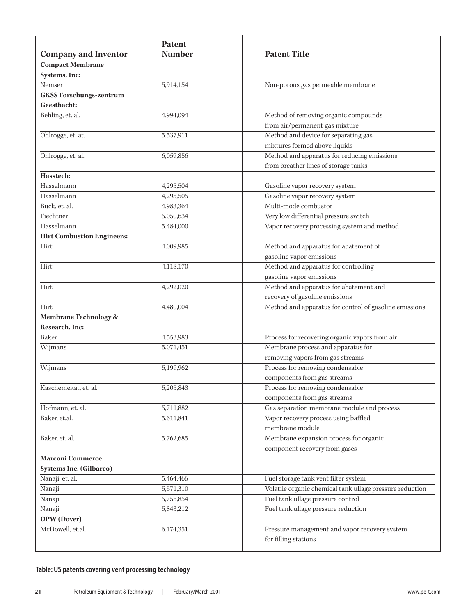| <b>Company and Inventor</b>       | Patent<br><b>Number</b> | <b>Patent Title</b>                                                   |
|-----------------------------------|-------------------------|-----------------------------------------------------------------------|
| <b>Compact Membrane</b>           |                         |                                                                       |
| Systems, Inc:                     |                         |                                                                       |
| Nemser                            | 5,914,154               | Non-porous gas permeable membrane                                     |
| <b>GKSS Forschungs-zentrum</b>    |                         |                                                                       |
| Geesthacht:                       |                         |                                                                       |
| Behling, et. al.                  | 4,994,094               | Method of removing organic compounds                                  |
|                                   |                         | from air/permanent gas mixture                                        |
| Ohlrogge, et. at.                 | 5,537,911               | Method and device for separating gas                                  |
|                                   |                         | mixtures formed above liquids                                         |
| Ohlrogge, et. al.                 | 6,059,856               | Method and apparatus for reducing emissions                           |
|                                   |                         | from breather lines of storage tanks                                  |
| Hasstech:                         |                         |                                                                       |
| Hasselmann                        | 4,295,504               | Gasoline vapor recovery system                                        |
| Hasselmann                        | 4,295,505               | Gasoline vapor recovery system                                        |
| Buck, et. al.                     | 4,983,364               | Multi-mode combustor                                                  |
| Fiechtner                         | 5,050,634               | Very low differential pressure switch                                 |
| Hasselmann                        | 5,484,000               | Vapor recovery processing system and method                           |
| <b>Hirt Combustion Engineers:</b> |                         |                                                                       |
| Hirt                              | 4,009,985               | Method and apparatus for abatement of                                 |
|                                   |                         | gasoline vapor emissions                                              |
| Hirt                              | 4,118,170               | Method and apparatus for controlling                                  |
|                                   |                         | gasoline vapor emissions                                              |
| Hirt                              | 4,292,020               | Method and apparatus for abatement and                                |
|                                   |                         | recovery of gasoline emissions                                        |
| Hirt                              | 4,480,004               | Method and apparatus for control of gasoline emissions                |
| Membrane Technology &             |                         |                                                                       |
| Research, Inc:                    |                         |                                                                       |
| Baker                             | 4,553,983               | Process for recovering organic vapors from air                        |
| Wijmans                           | 5,071,451               | Membrane process and apparatus for                                    |
|                                   |                         | removing vapors from gas streams                                      |
| Wijmans                           | 5,199,962               | Process for removing condensable                                      |
|                                   |                         | components from gas streams                                           |
| Kaschemekat, et. al.              | 5,205,843               | Process for removing condensable                                      |
|                                   |                         | components from gas streams                                           |
| Hofmann, et. al.                  | 5,711,882               | Gas separation membrane module and process                            |
| Baker, et.al.                     | 5,611,841               | Vapor recovery process using baffled                                  |
|                                   |                         | membrane module                                                       |
| Baker, et. al.                    | 5,762,685               | Membrane expansion process for organic                                |
|                                   |                         | component recovery from gases                                         |
| <b>Marconi Commerce</b>           |                         |                                                                       |
| <b>Systems Inc. (Gilbarco)</b>    |                         |                                                                       |
| Nanaji, et. al.                   | 5,464,466               | Fuel storage tank vent filter system                                  |
| Nanaji                            | 5,571,310               | Volatile organic chemical tank ullage pressure reduction              |
| Nanaji                            | 5,755,854               | Fuel tank ullage pressure control                                     |
| Nanaji                            | 5,843,212               | Fuel tank ullage pressure reduction                                   |
| <b>OPW</b> (Dover)                |                         |                                                                       |
| McDowell, et.al.                  | 6,174,351               | Pressure management and vapor recovery system<br>for filling stations |

### **Table: US patents covering vent processing technology**